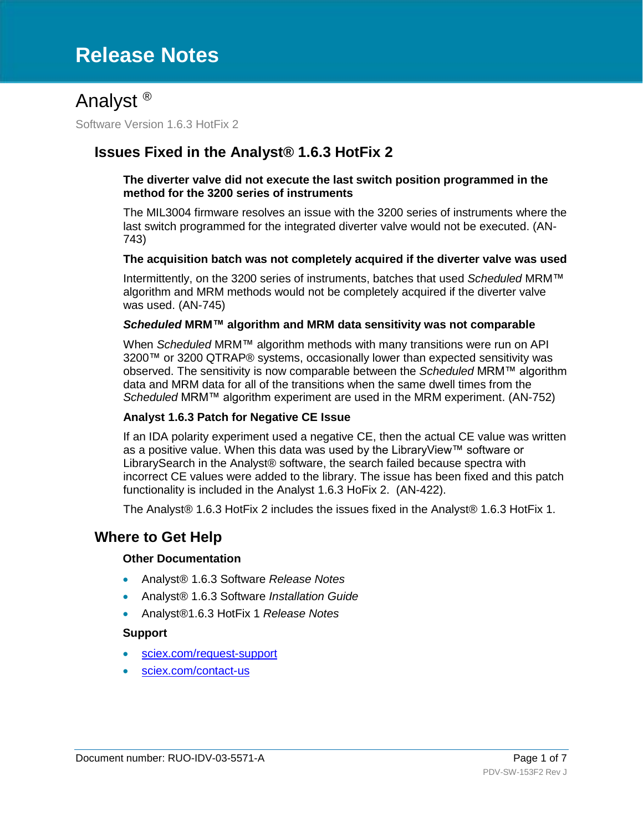# **Release Notes**

# Analyst ®

Software Version 1.6.3 HotFix 2

### **Issues Fixed in the Analyst® 1.6.3 HotFix 2**

**The diverter valve did not execute the last switch position programmed in the method for the 3200 series of instruments**

The MIL3004 firmware resolves an issue with the 3200 series of instruments where the last switch programmed for the integrated diverter valve would not be executed. (AN-743)

#### **The acquisition batch was not completely acquired if the diverter valve was used**

Intermittently, on the 3200 series of instruments, batches that used *Scheduled* MRM™ algorithm and MRM methods would not be completely acquired if the diverter valve was used. (AN-745)

#### *Scheduled* **MRM™ algorithm and MRM data sensitivity was not comparable**

When *Scheduled* MRM™ algorithm methods with many transitions were run on API 3200™ or 3200 QTRAP® systems, occasionally lower than expected sensitivity was observed. The sensitivity is now comparable between the *Scheduled* MRM™ algorithm data and MRM data for all of the transitions when the same dwell times from the *Scheduled* MRM™ algorithm experiment are used in the MRM experiment. (AN-752)

#### **Analyst 1.6.3 Patch for Negative CE Issue**

If an IDA polarity experiment used a negative CE, then the actual CE value was written as a positive value. When this data was used by the LibraryView™ software or LibrarySearch in the Analyst® software, the search failed because spectra with incorrect CE values were added to the library. The issue has been fixed and this patch functionality is included in the Analyst 1.6.3 HoFix 2. (AN-422).

The Analyst® 1.6.3 HotFix 2 includes the issues fixed in the Analyst® 1.6.3 HotFix 1.

### **Where to Get Help**

#### **Other Documentation**

- Analyst® 1.6.3 Software *Release Notes*
- Analyst® 1.6.3 Software *Installation Guide*
- Analyst®1.6.3 HotFix 1 *Release Notes*

#### **Support**

- [sciex.com/request-support](https://sciex.com/request-support)
- [sciex.com/contact-us](https://sciex.com/about-us/contact-us)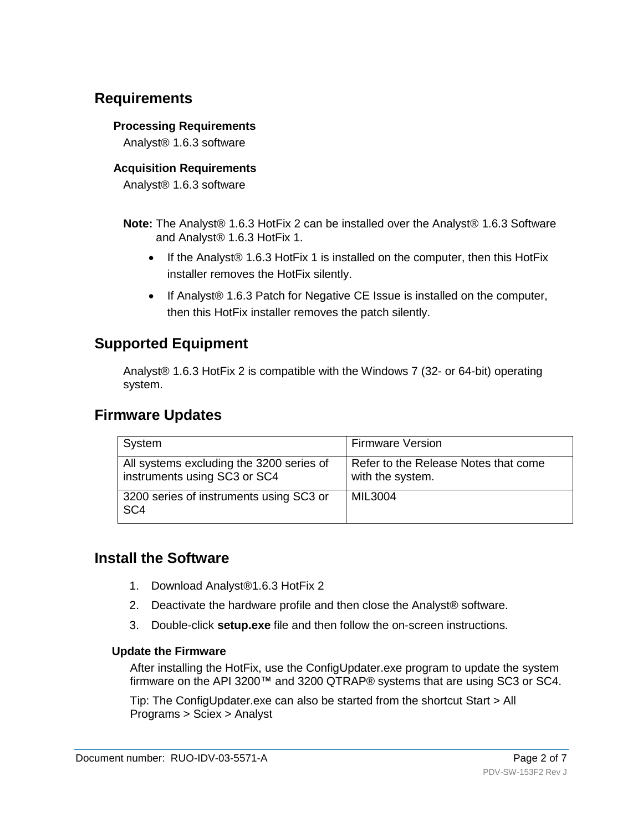## **Requirements**

### **Processing Requirements**

Analyst® 1.6.3 software

### **Acquisition Requirements**

Analyst® 1.6.3 software

- **Note:** The Analyst® 1.6.3 HotFix 2 can be installed over the Analyst® 1.6.3 Software and Analyst® 1.6.3 HotFix 1.
	- If the Analyst<sup>®</sup> 1.6.3 HotFix 1 is installed on the computer, then this HotFix installer removes the HotFix silently.
	- If Analyst<sup>®</sup> 1.6.3 Patch for Negative CE Issue is installed on the computer, then this HotFix installer removes the patch silently.

# **Supported Equipment**

Analyst® 1.6.3 HotFix 2 is compatible with the Windows 7 (32- or 64-bit) operating system.

## **Firmware Updates**

| System                                                                   | <b>Firmware Version</b>                                  |
|--------------------------------------------------------------------------|----------------------------------------------------------|
| All systems excluding the 3200 series of<br>instruments using SC3 or SC4 | Refer to the Release Notes that come<br>with the system. |
| 3200 series of instruments using SC3 or<br>SC <sub>4</sub>               | MIL3004                                                  |

# **Install the Software**

- 1. Download Analyst®1.6.3 HotFix 2
- 2. Deactivate the hardware profile and then close the Analyst® software.
- 3. Double-click **setup.exe** file and then follow the on-screen instructions.

### **Update the Firmware**

After installing the HotFix, use the ConfigUpdater.exe program to update the system firmware on the API 3200™ and 3200 QTRAP® systems that are using SC3 or SC4.

Tip: The ConfigUpdater.exe can also be started from the shortcut Start > All Programs > Sciex > Analyst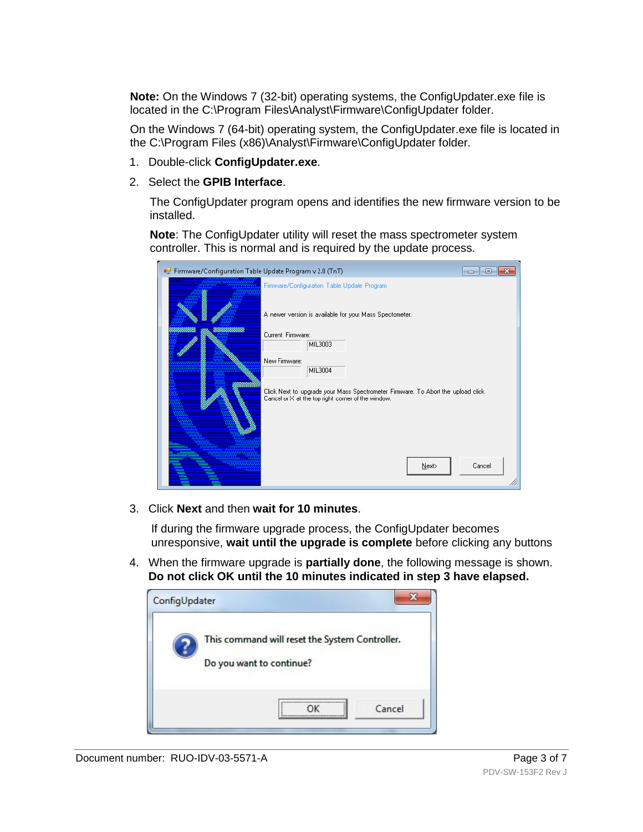**Note:** On the Windows 7 (32-bit) operating systems, the ConfigUpdater.exe file is located in the C:\Program Files\Analyst\Firmware\ConfigUpdater folder.

On the Windows 7 (64-bit) operating system, the ConfigUpdater.exe file is located in the C:\Program Files (x86)\Analyst\Firmware\ConfigUpdater folder.

- 1. Double-click **ConfigUpdater.exe**.
- 2. Select the **GPIB Interface**.

The ConfigUpdater program opens and identifies the new firmware version to be installed.

**Note**: The ConfigUpdater utility will reset the mass spectrometer system controller. This is normal and is required by the update process.

| Firmware/Configuration Table Update Program v 2.0 (TnT)<br>⊟                                                                             |  |
|------------------------------------------------------------------------------------------------------------------------------------------|--|
| Firmware/Configuration Table Update Program                                                                                              |  |
| A newer version is available for your Mass Spectometer.                                                                                  |  |
| Current Firmware:<br>MIL3003                                                                                                             |  |
| New Firmware:<br>MIL3004                                                                                                                 |  |
| Click Next to upgrade your Mass Spectrometer Firmware. To Abort the upload click<br>Cancel or $X$ at the top right corner of the window. |  |
| Cancel<br>$N$ ext>                                                                                                                       |  |

3. Click **Next** and then **wait for 10 minutes**.

If during the firmware upgrade process, the ConfigUpdater becomes unresponsive, **wait until the upgrade is complete** before clicking any buttons

4. When the firmware upgrade is **partially done**, the following message is shown. **Do not click OK until the 10 minutes indicated in step 3 have elapsed.**

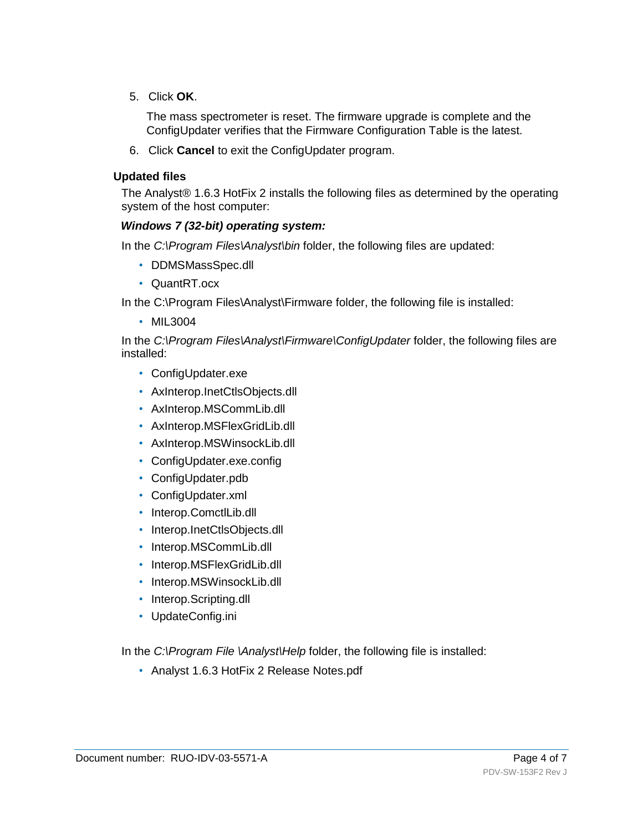5. Click **OK**.

The mass spectrometer is reset. The firmware upgrade is complete and the ConfigUpdater verifies that the Firmware Configuration Table is the latest.

6. Click **Cancel** to exit the ConfigUpdater program.

### **Updated files**

The Analyst® 1.6.3 HotFix 2 installs the following files as determined by the operating system of the host computer:

#### *Windows 7 (32-bit) operating system:*

In the *C:\Program Files\Analyst\bin* folder, the following files are updated:

- DDMSMassSpec.dll
- QuantRT.ocx

In the C:\Program Files\Analyst\Firmware folder, the following file is installed:

• MIL3004

In the *C:\Program Files\Analyst\Firmware\ConfigUpdater* folder, the following files are installed:

- ConfigUpdater.exe
- AxInterop.InetCtlsObjects.dll
- AxInterop.MSCommLib.dll
- AxInterop.MSFlexGridLib.dll
- AxInterop.MSWinsockLib.dll
- ConfigUpdater.exe.config
- ConfigUpdater.pdb
- ConfigUpdater.xml
- Interop.ComctlLib.dll
- Interop.InetCtlsObjects.dll
- Interop.MSCommLib.dll
- Interop.MSFlexGridLib.dll
- Interop.MSWinsockLib.dll
- Interop.Scripting.dll
- UpdateConfig.ini

In the *C:\Program File \Analyst\Help* folder, the following file is installed:

• Analyst 1.6.3 HotFix 2 Release Notes.pdf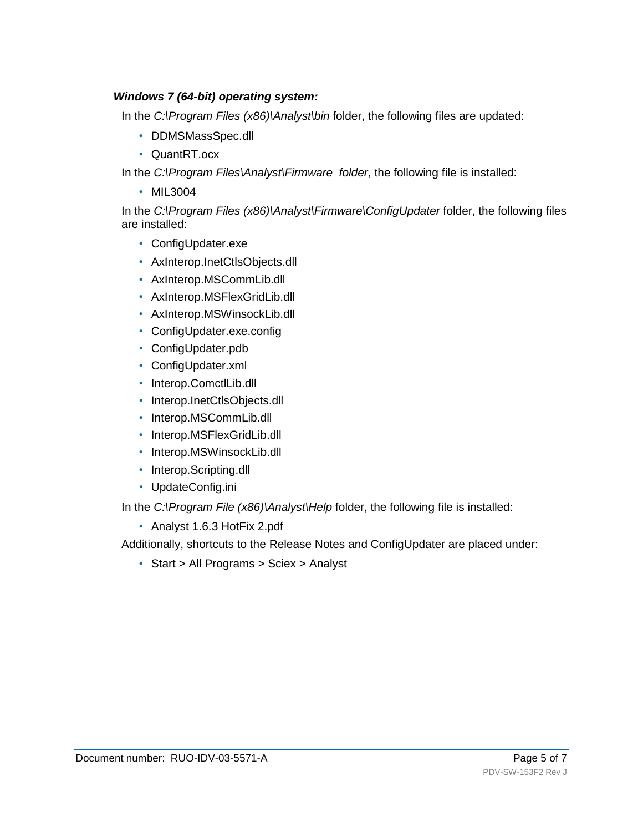### *Windows 7 (64-bit) operating system:*

In the *C:\Program Files (x86)\Analyst\bin* folder, the following files are updated:

- DDMSMassSpec.dll
- QuantRT.ocx

In the *C:\Program Files\Analyst\Firmware folder*, the following file is installed:

• MIL3004

In the *C:\Program Files (x86)\Analyst\Firmware\ConfigUpdater* folder, the following files are installed:

- ConfigUpdater.exe
- AxInterop.InetCtlsObjects.dll
- AxInterop.MSCommLib.dll
- AxInterop.MSFlexGridLib.dll
- AxInterop.MSWinsockLib.dll
- ConfigUpdater.exe.config
- ConfigUpdater.pdb
- ConfigUpdater.xml
- Interop.ComctlLib.dll
- Interop.InetCtlsObjects.dll
- Interop.MSCommLib.dll
- Interop.MSFlexGridLib.dll
- Interop.MSWinsockLib.dll
- Interop.Scripting.dll
- UpdateConfig.ini

In the *C:\Program File (x86)\Analyst\Help* folder, the following file is installed:

• Analyst 1.6.3 HotFix 2.pdf

Additionally, shortcuts to the Release Notes and ConfigUpdater are placed under:

• Start > All Programs > Sciex > Analyst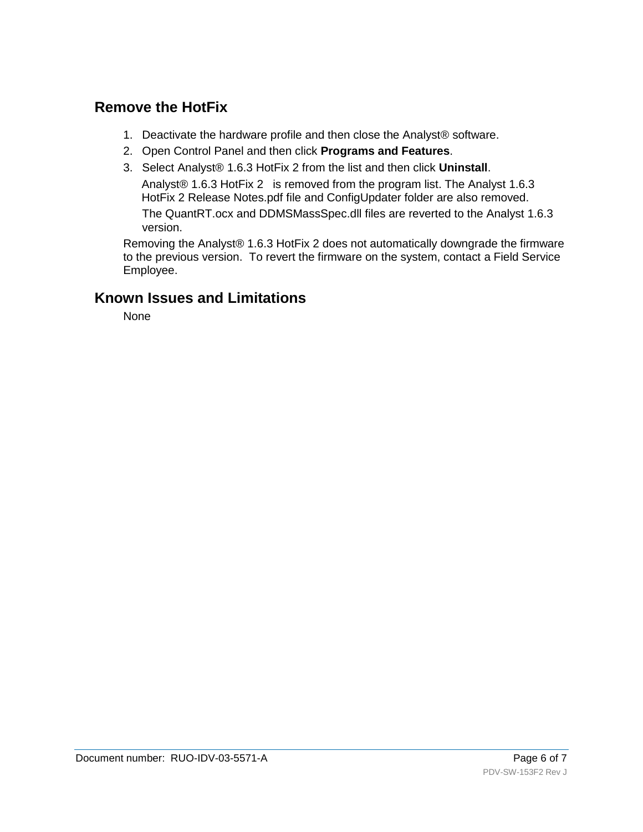# **Remove the HotFix**

- 1. Deactivate the hardware profile and then close the Analyst® software.
- 2. Open Control Panel and then click **Programs and Features**.
- 3. Select Analyst® 1.6.3 HotFix 2 from the list and then click **Uninstall**.

Analyst<sup>®</sup> 1.6.3 HotFix 2 is removed from the program list. The Analyst 1.6.3 HotFix 2 Release Notes.pdf file and ConfigUpdater folder are also removed.

The QuantRT.ocx and DDMSMassSpec.dll files are reverted to the Analyst 1.6.3 version.

Removing the Analyst® 1.6.3 HotFix 2 does not automatically downgrade the firmware to the previous version. To revert the firmware on the system, contact a Field Service Employee.

# **Known Issues and Limitations**

None